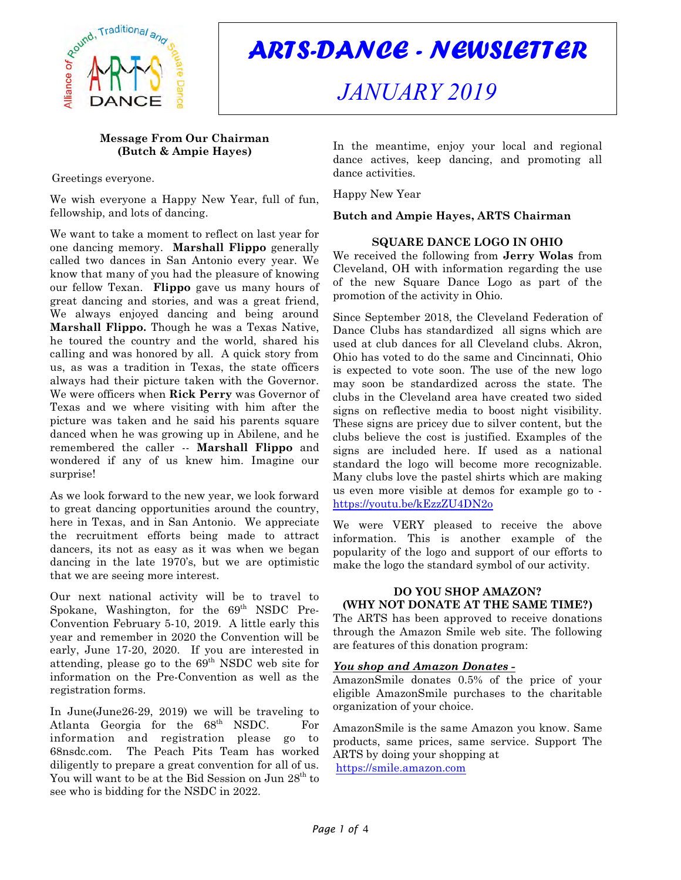

*ARTS-DANCE - NEWSLETTER*

# *JANUARY 2019*

# **Message From Our Chairman (Butch & Ampie Hayes)**

Greetings everyone.

We wish everyone a Happy New Year, full of fun, fellowship, and lots of dancing.

We want to take a moment to reflect on last year for one dancing memory. **Marshall Flippo** generally called two dances in San Antonio every year. We know that many of you had the pleasure of knowing our fellow Texan. **Flippo** gave us many hours of great dancing and stories, and was a great friend, We always enjoyed dancing and being around **Marshall Flippo.** Though he was a Texas Native, he toured the country and the world, shared his calling and was honored by all. A quick story from us, as was a tradition in Texas, the state officers always had their picture taken with the Governor. We were officers when **Rick Perry** was Governor of Texas and we where visiting with him after the picture was taken and he said his parents square danced when he was growing up in Abilene, and he remembered the caller -- **Marshall Flippo** and wondered if any of us knew him. Imagine our surprise!

As we look forward to the new year, we look forward to great dancing opportunities around the country, here in Texas, and in San Antonio. We appreciate the recruitment efforts being made to attract dancers, its not as easy as it was when we began dancing in the late 1970's, but we are optimistic that we are seeing more interest.

Our next national activity will be to travel to Spokane, Washington, for the  $69<sup>th</sup>$  NSDC Pre-Convention February 5-10, 2019. A little early this year and remember in 2020 the Convention will be early, June 17-20, 2020. If you are interested in attending, please go to the  $69<sup>th</sup>$  NSDC web site for information on the Pre-Convention as well as the registration forms.

In June(June26-29, 2019) we will be traveling to Atlanta Georgia for the  $68<sup>th</sup>$  NSDC. For information and registration please go to 68nsdc.com. The Peach Pits Team has worked diligently to prepare a great convention for all of us. You will want to be at the Bid Session on Jun 28<sup>th</sup> to see who is bidding for the NSDC in 2022.

In the meantime, enjoy your local and regional dance actives, keep dancing, and promoting all dance activities.

Happy New Year

**Butch and Ampie Hayes, ARTS Chairman**

# **SQUARE DANCE LOGO IN OHIO**

We received the following from **Jerry Wolas** from Cleveland, OH with information regarding the use of the new Square Dance Logo as part of the promotion of the activity in Ohio.

Since September 2018, the Cleveland Federation of Dance Clubs has standardized all signs which are used at club dances for all Cleveland clubs. Akron, Ohio has voted to do the same and Cincinnati, Ohio is expected to vote soon. The use of the new logo may soon be standardized across the state. The clubs in the Cleveland area have created two sided signs on reflective media to boost night visibility. These signs are pricey due to silver content, but the clubs believe the cost is justified. Examples of the signs are included here. If used as a national standard the logo will become more recognizable. Many clubs love the pastel shirts which are making us even more visible at demos for example go to <https://youtu.be/kEzzZU4DN2o>

We were VERY pleased to receive the above information. This is another example of the popularity of the logo and support of our efforts to make the logo the standard symbol of our activity.

# **DO YOU SHOP AMAZON? (WHY NOT DONATE AT THE SAME TIME?)**

The ARTS has been approved to receive donations through the Amazon Smile web site. The following are features of this donation program:

# *You shop and Amazon Donates -*

AmazonSmile donates 0.5% of the price of your eligible AmazonSmile purchases to the charitable organization of your choice.

AmazonSmile is the same Amazon you know. Same products, same prices, same service. Support The ARTS by doing your shopping at <https://smile.amazon.com>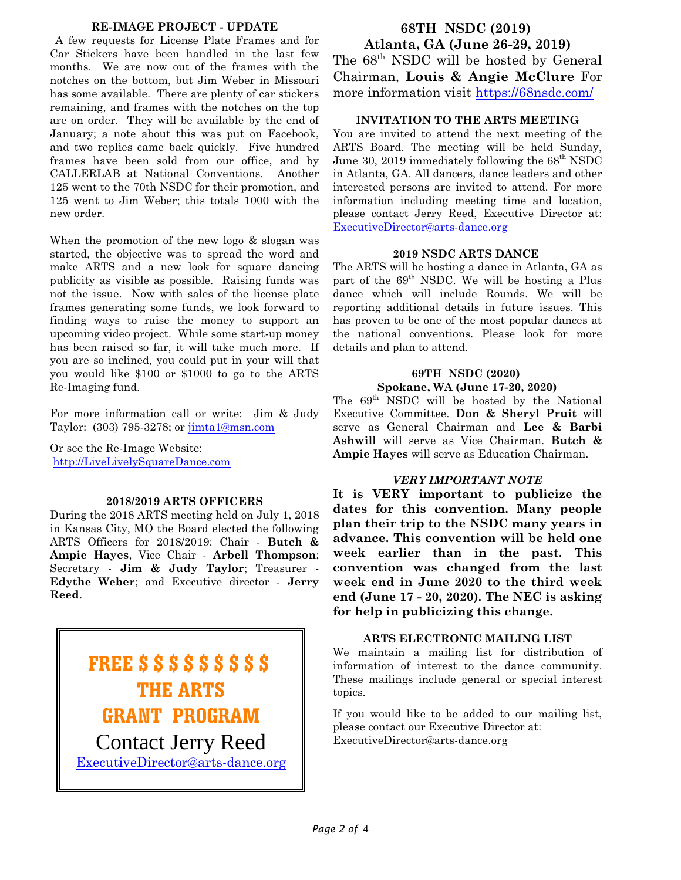# **RE-IMAGE PROJECT - UPDATE**

 A few requests for License Plate Frames and for Car Stickers have been handled in the last few months. We are now out of the frames with the notches on the bottom, but Jim Weber in Missouri has some available. There are plenty of car stickers remaining, and frames with the notches on the top are on order. They will be available by the end of January; a note about this was put on Facebook, and two replies came back quickly. Five hundred frames have been sold from our office, and by CALLERLAB at National Conventions. Another 125 went to the 70th NSDC for their promotion, and 125 went to Jim Weber; this totals 1000 with the new order.

When the promotion of the new logo & slogan was started, the objective was to spread the word and make ARTS and a new look for square dancing publicity as visible as possible. Raising funds was not the issue. Now with sales of the license plate frames generating some funds, we look forward to finding ways to raise the money to support an upcoming video project. While some start-up money has been raised so far, it will take much more. If you are so inclined, you could put in your will that you would like \$100 or \$1000 to go to the ARTS Re-Imaging fund.

For more information call or write: Jim & Judy Taylor: (303) 795-3278; or [jimta1@msn.com](mailto:jimta1@msn.com)

Or see the Re-Image Website: <http://LiveLivelySquareDance.com>

## **2018/2019 ARTS OFFICERS**

During the 2018 ARTS meeting held on July 1, 2018 in Kansas City, MO the Board elected the following ARTS Officers for 2018/2019: Chair - **Butch & Ampie Hayes**, Vice Chair - **Arbell Thompson**; Secretary - **Jim & Judy Taylor**; Treasurer - **Edythe Weber**; and Executive director - **Jerry Reed**.

**FREE \$ \$ \$ \$ \$ \$ \$ \$ \$ THE ARTS GRANT PROGRAM** Contact Jerry Reed [ExecutiveDirector@arts-dance.org](mailto:ExecutiveDirector@arts-dance.org)

# **68TH NSDC (2019) Atlanta, GA (June 26-29, 2019)**

The  $68<sup>th</sup>$  NSDC will be hosted by General Chairman, **Louis & Angie McClure** For more information visit<https://68nsdc.com/>

# **INVITATION TO THE ARTS MEETING**

You are invited to attend the next meeting of the ARTS Board. The meeting will be held Sunday, June 30, 2019 immediately following the  $68<sup>th</sup>$  NSDC in Atlanta, GA. All dancers, dance leaders and other interested persons are invited to attend. For more information including meeting time and location, please contact Jerry Reed, Executive Director at: [ExecutiveDirector@arts-dance.org](mailto:ExecutiveDirector@arts-dance.org)

# **2019 NSDC ARTS DANCE**

The ARTS will be hosting a dance in Atlanta, GA as part of the  $69<sup>th</sup>$  NSDC. We will be hosting a Plus dance which will include Rounds. We will be reporting additional details in future issues. This has proven to be one of the most popular dances at the national conventions. Please look for more details and plan to attend.

# **69TH NSDC (2020) Spokane, WA (June 17-20, 2020)**

The  $69<sup>th</sup>$  NSDC will be hosted by the National Executive Committee. **Don & Sheryl Pruit** will serve as General Chairman and **Lee & Barbi Ashwill** will serve as Vice Chairman. **Butch & Ampie Hayes** will serve as Education Chairman.

# *VERY IMPORTANT NOTE*

**It is VERY important to publicize the dates for this convention. Many people plan their trip to the NSDC many years in advance. This convention will be held one week earlier than in the past. This convention was changed from the last week end in June 2020 to the third week end (June 17 - 20, 2020). The NEC is asking for help in publicizing this change.**

# **ARTS ELECTRONIC MAILING LIST**

We maintain a mailing list for distribution of information of interest to the dance community. These mailings include general or special interest topics.

If you would like to be added to our mailing list, please contact our Executive Director at: ExecutiveDirector@arts-dance.org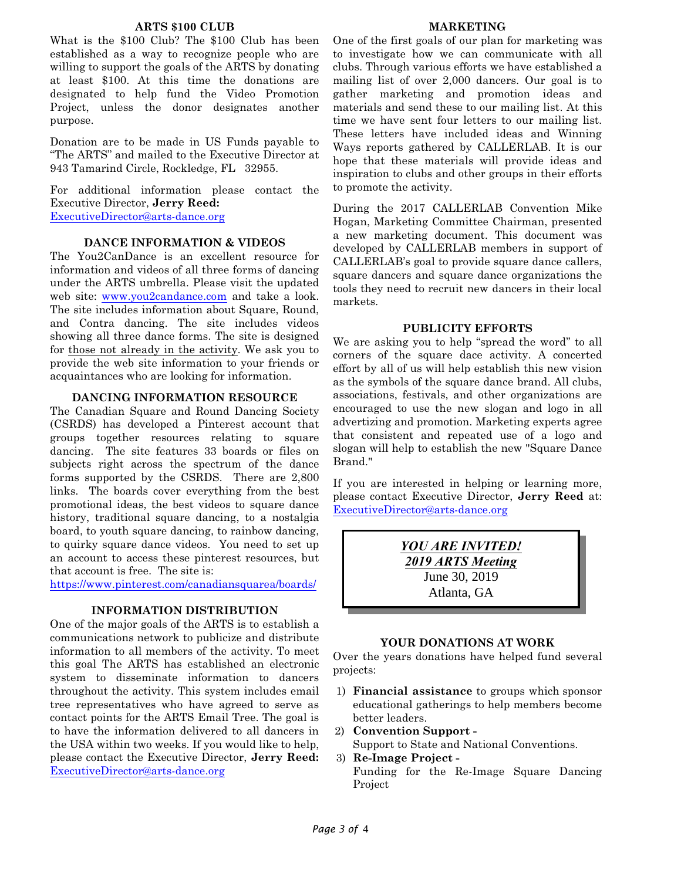#### **ARTS \$100 CLUB**

What is the \$100 Club? The \$100 Club has been established as a way to recognize people who are willing to support the goals of the ARTS by donating at least \$100. At this time the donations are designated to help fund the Video Promotion Project, unless the donor designates another purpose.

Donation are to be made in US Funds payable to "The ARTS" and mailed to the Executive Director at 943 Tamarind Circle, Rockledge, FL 32955.

For additional information please contact the Executive Director, **Jerry Reed:** [ExecutiveDirector@arts-dance.org](mailto:at:ExecutiveDirector@arts-dance.org)

#### **DANCE INFORMATION & VIDEOS**

The You2CanDance is an excellent resource for information and videos of all three forms of dancing under the ARTS umbrella. Please visit the updated web site: [www.you2candance.com](http://www.you2candance.com) and take a look. The site includes information about Square, Round, and Contra dancing. The site includes videos showing all three dance forms. The site is designed for those not already in the activity. We ask you to provide the web site information to your friends or acquaintances who are looking for information.

#### **DANCING INFORMATION RESOURCE**

The Canadian Square and Round Dancing Society (CSRDS) has developed a Pinterest account that groups together resources relating to square dancing. The site features 33 boards or files on subjects right across the spectrum of the dance forms supported by the CSRDS. There are 2,800 links. The boards cover everything from the best promotional ideas, the best videos to square dance history, traditional square dancing, to a nostalgia board, to youth square dancing, to rainbow dancing, to quirky square dance videos. You need to set up an account to access these pinterest resources, but that account is free. The site is:

<https://www.pinterest.com/canadiansquarea/boards/>

## **INFORMATION DISTRIBUTION**

One of the major goals of the ARTS is to establish a communications network to publicize and distribute information to all members of the activity. To meet this goal The ARTS has established an electronic system to disseminate information to dancers throughout the activity. This system includes email tree representatives who have agreed to serve as contact points for the ARTS Email Tree. The goal is to have the information delivered to all dancers in the USA within two weeks. If you would like to help, please contact the Executive Director, **Jerry Reed:** [ExecutiveDirector@arts-dance.org](mailto:at:ExecutiveDirector@arts-dance.org)

#### **MARKETING**

One of the first goals of our plan for marketing was to investigate how we can communicate with all clubs. Through various efforts we have established a mailing list of over 2,000 dancers. Our goal is to gather marketing and promotion ideas and materials and send these to our mailing list. At this time we have sent four letters to our mailing list. These letters have included ideas and Winning Ways reports gathered by CALLERLAB. It is our hope that these materials will provide ideas and inspiration to clubs and other groups in their efforts to promote the activity.

During the 2017 CALLERLAB Convention Mike Hogan, Marketing Committee Chairman, presented a new marketing document. This document was developed by CALLERLAB members in support of CALLERLAB's goal to provide square dance callers, square dancers and square dance organizations the tools they need to recruit new dancers in their local markets.

#### **PUBLICITY EFFORTS**

We are asking you to help "spread the word" to all corners of the square dace activity. A concerted effort by all of us will help establish this new vision as the symbols of the square dance brand. All clubs, associations, festivals, and other organizations are encouraged to use the new slogan and logo in all advertizing and promotion. Marketing experts agree that consistent and repeated use of a logo and slogan will help to establish the new "Square Dance Brand."

If you are interested in helping or learning more, please contact Executive Director, **Jerry Reed** at: [ExecutiveDirector@arts-dance.org](mailto:ExecutiveDirector@arts-dance.org)

> *YOU ARE INVITED! 2019 ARTS Meeting* June 30, 2019 Atlanta, GA

#### **YOUR DONATIONS AT WORK**

Over the years donations have helped fund several projects:

- 1) **Financial assistance** to groups which sponsor educational gatherings to help members become better leaders.
- 2) **Convention Support -**

Support to State and National Conventions.

3) **Re-Image Project -**

Funding for the Re-Image Square Dancing Project